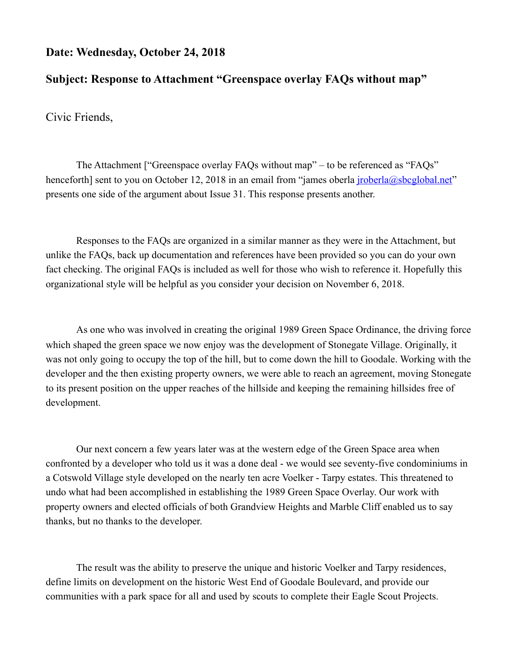#### **Date: Wednesday, October 24, 2018**

### **Subject: Response to Attachment "Greenspace overlay FAQs without map"**

Civic Friends,

 The Attachment ["Greenspace overlay FAQs without map" – to be referenced as "FAQs" henceforth] sent to you on October 12, 2018 in an email from "james oberla *jroberla@sbcglobal.net*" presents one side of the argument about Issue 31. This response presents another.

 Responses to the FAQs are organized in a similar manner as they were in the Attachment, but unlike the FAQs, back up documentation and references have been provided so you can do your own fact checking. The original FAQs is included as well for those who wish to reference it. Hopefully this organizational style will be helpful as you consider your decision on November 6, 2018.

 As one who was involved in creating the original 1989 Green Space Ordinance, the driving force which shaped the green space we now enjoy was the development of Stonegate Village. Originally, it was not only going to occupy the top of the hill, but to come down the hill to Goodale. Working with the developer and the then existing property owners, we were able to reach an agreement, moving Stonegate to its present position on the upper reaches of the hillside and keeping the remaining hillsides free of development.

 Our next concern a few years later was at the western edge of the Green Space area when confronted by a developer who told us it was a done deal - we would see seventy-five condominiums in a Cotswold Village style developed on the nearly ten acre Voelker - Tarpy estates. This threatened to undo what had been accomplished in establishing the 1989 Green Space Overlay. Our work with property owners and elected officials of both Grandview Heights and Marble Cliff enabled us to say thanks, but no thanks to the developer.

 The result was the ability to preserve the unique and historic Voelker and Tarpy residences, define limits on development on the historic West End of Goodale Boulevard, and provide our communities with a park space for all and used by scouts to complete their Eagle Scout Projects.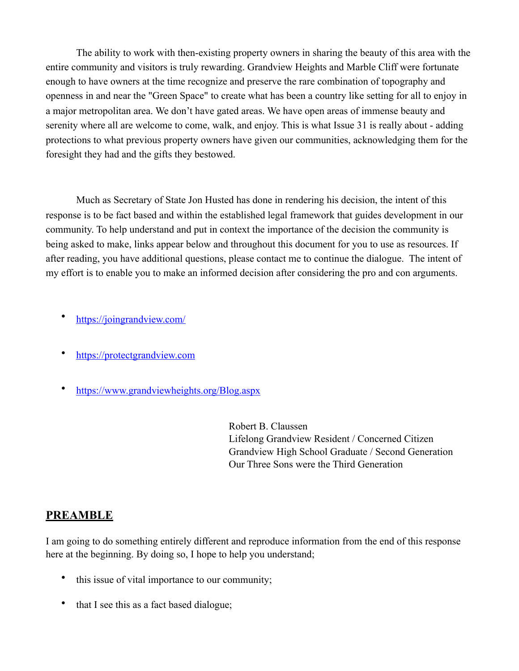The ability to work with then-existing property owners in sharing the beauty of this area with the entire community and visitors is truly rewarding. Grandview Heights and Marble Cliff were fortunate enough to have owners at the time recognize and preserve the rare combination of topography and openness in and near the "Green Space" to create what has been a country like setting for all to enjoy in a major metropolitan area. We don't have gated areas. We have open areas of immense beauty and serenity where all are welcome to come, walk, and enjoy. This is what Issue 31 is really about - adding protections to what previous property owners have given our communities, acknowledging them for the foresight they had and the gifts they bestowed.

 Much as Secretary of State Jon Husted has done in rendering his decision, the intent of this response is to be fact based and within the established legal framework that guides development in our community. To help understand and put in context the importance of the decision the community is being asked to make, links appear below and throughout this document for you to use as resources. If after reading, you have additional questions, please contact me to continue the dialogue. The intent of my effort is to enable you to make an informed decision after considering the pro and con arguments.

- <https://joingrandview.com/>
- <https://protectgrandview.com>
- <https://www.grandviewheights.org/Blog.aspx>

 Robert B. Claussen Lifelong Grandview Resident / Concerned Citizen Grandview High School Graduate / Second Generation Our Three Sons were the Third Generation

#### **PREAMBLE**

I am going to do something entirely different and reproduce information from the end of this response here at the beginning. By doing so, I hope to help you understand;

- this issue of vital importance to our community;
- that I see this as a fact based dialogue;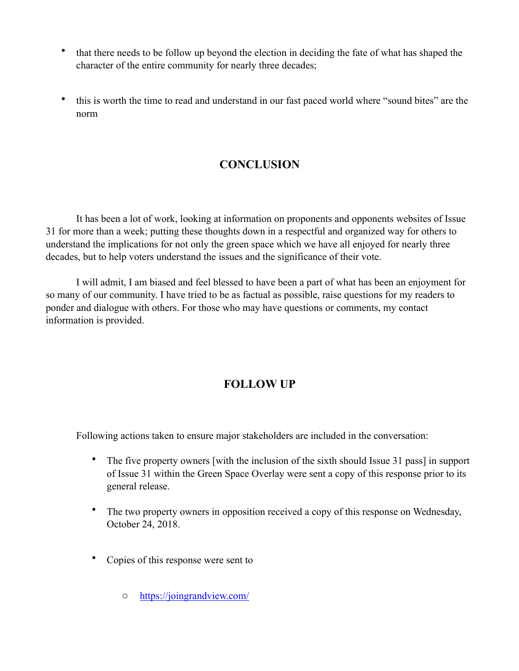- that there needs to be follow up beyond the election in deciding the fate of what has shaped the character of the entire community for nearly three decades;
- this is worth the time to read and understand in our fast paced world where "sound bites" are the norm

# **CONCLUSION**

 It has been a lot of work, looking at information on proponents and opponents websites of Issue 31 for more than a week; putting these thoughts down in a respectful and organized way for others to understand the implications for not only the green space which we have all enjoyed for nearly three decades, but to help voters understand the issues and the significance of their vote.

 I will admit, I am biased and feel blessed to have been a part of what has been an enjoyment for so many of our community. I have tried to be as factual as possible, raise questions for my readers to ponder and dialogue with others. For those who may have questions or comments, my contact information is provided.

# **FOLLOW UP**

Following actions taken to ensure major stakeholders are included in the conversation:

- The five property owners [with the inclusion of the sixth should Issue 31 pass] in support of Issue 31 within the Green Space Overlay were sent a copy of this response prior to its general release.
- The two property owners in opposition received a copy of this response on Wednesday, October 24, 2018.
- Copies of this response were sent to
	- o <https://joingrandview.com/>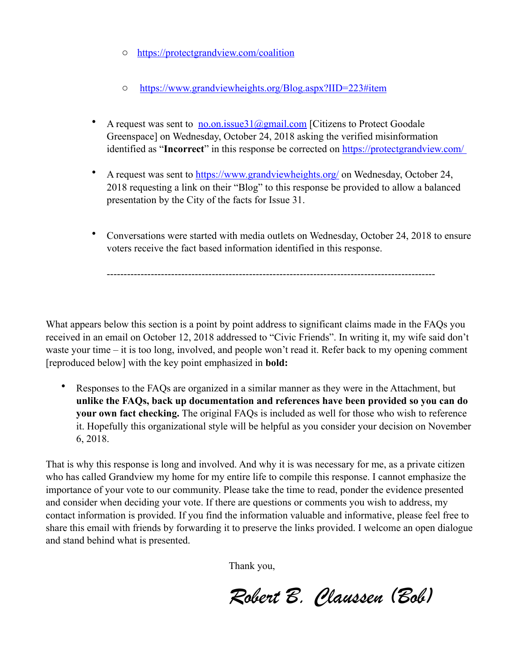- o <https://protectgrandview.com/coalition>
- o <https://www.grandviewheights.org/Blog.aspx?IID=223#item>
- A request was sent to no.on.issue $31$  ( $\partial$ gmail.com [Citizens to Protect Goodale Greenspace] on Wednesday, October 24, 2018 asking the verified misinformation identified as "**Incorrect**" in this response be corrected on <https://protectgrandview.com/>
- A request was sent to <https://www.grandviewheights.org/>on Wednesday, October 24, 2018 requesting a link on their "Blog" to this response be provided to allow a balanced presentation by the City of the facts for Issue 31.
- Conversations were started with media outlets on Wednesday, October 24, 2018 to ensure voters receive the fact based information identified in this response.

What appears below this section is a point by point address to significant claims made in the FAQs you received in an email on October 12, 2018 addressed to "Civic Friends". In writing it, my wife said don't waste your time – it is too long, involved, and people won't read it. Refer back to my opening comment [reproduced below] with the key point emphasized in **bold:**

-------------------------------------------------------------------------------------------------

• Responses to the FAQs are organized in a similar manner as they were in the Attachment, but **unlike the FAQs, back up documentation and references have been provided so you can do your own fact checking.** The original FAQs is included as well for those who wish to reference it. Hopefully this organizational style will be helpful as you consider your decision on November 6, 2018.

That is why this response is long and involved. And why it is was necessary for me, as a private citizen who has called Grandview my home for my entire life to compile this response. I cannot emphasize the importance of your vote to our community. Please take the time to read, ponder the evidence presented and consider when deciding your vote. If there are questions or comments you wish to address, my contact information is provided. If you find the information valuable and informative, please feel free to share this email with friends by forwarding it to preserve the links provided. I welcome an open dialogue and stand behind what is presented.

Thank you,

 *Robert B. Claussen (Bob)*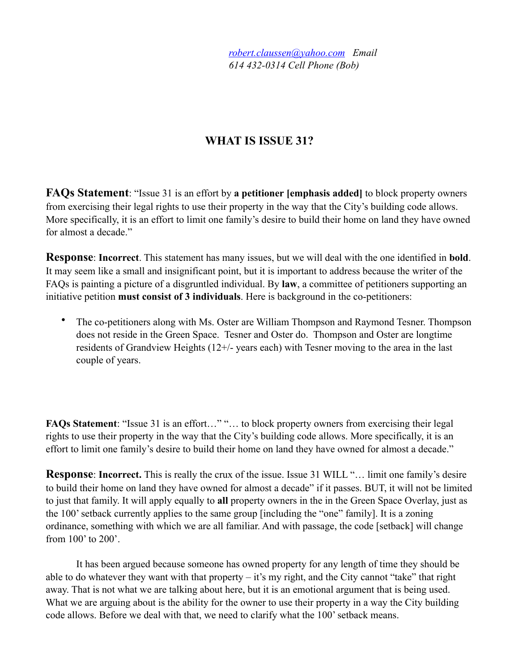*[robert.claussen@yahoo.com](mailto:robert.claussen@yahoo.com) Email 614 432-0314 Cell Phone (Bob)*

# **WHAT IS ISSUE 31?**

**FAQs Statement**: "Issue 31 is an effort by **a petitioner [emphasis added]** to block property owners from exercising their legal rights to use their property in the way that the City's building code allows. More specifically, it is an effort to limit one family's desire to build their home on land they have owned for almost a decade."

**Response**: **Incorrect**. This statement has many issues, but we will deal with the one identified in **bold**. It may seem like a small and insignificant point, but it is important to address because the writer of the FAQs is painting a picture of a disgruntled individual. By **law**, a committee of petitioners supporting an initiative petition **must consist of 3 individuals**. Here is background in the co-petitioners:

• The co-petitioners along with Ms. Oster are William Thompson and Raymond Tesner. Thompson does not reside in the Green Space. Tesner and Oster do. Thompson and Oster are longtime residents of Grandview Heights (12+/- years each) with Tesner moving to the area in the last couple of years.

**FAQs Statement**: "Issue 31 is an effort…" "… to block property owners from exercising their legal rights to use their property in the way that the City's building code allows. More specifically, it is an effort to limit one family's desire to build their home on land they have owned for almost a decade."

**Response: Incorrect.** This is really the crux of the issue. Issue 31 WILL "... limit one family's desire to build their home on land they have owned for almost a decade" if it passes. BUT, it will not be limited to just that family. It will apply equally to **all** property owners in the in the Green Space Overlay, just as the 100' setback currently applies to the same group [including the "one" family]. It is a zoning ordinance, something with which we are all familiar. And with passage, the code [setback] will change from 100' to 200'.

 It has been argued because someone has owned property for any length of time they should be able to do whatever they want with that property – it's my right, and the City cannot "take" that right away. That is not what we are talking about here, but it is an emotional argument that is being used. What we are arguing about is the ability for the owner to use their property in a way the City building code allows. Before we deal with that, we need to clarify what the 100' setback means.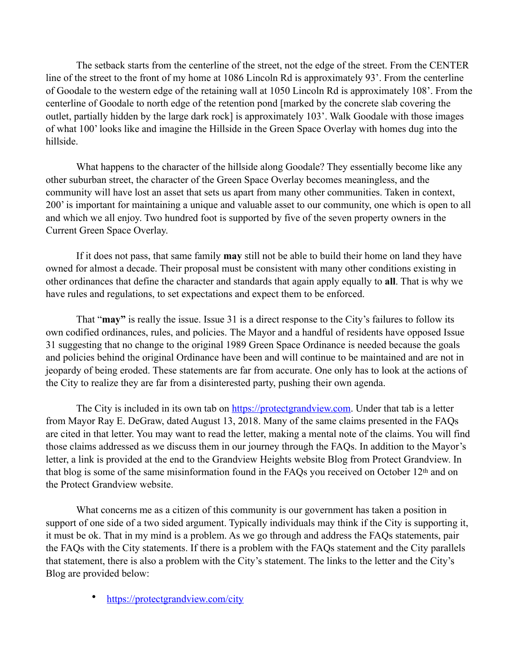The setback starts from the centerline of the street, not the edge of the street. From the CENTER line of the street to the front of my home at 1086 Lincoln Rd is approximately 93'. From the centerline of Goodale to the western edge of the retaining wall at 1050 Lincoln Rd is approximately 108'. From the centerline of Goodale to north edge of the retention pond [marked by the concrete slab covering the outlet, partially hidden by the large dark rock] is approximately 103'. Walk Goodale with those images of what 100' looks like and imagine the Hillside in the Green Space Overlay with homes dug into the hillside.

 What happens to the character of the hillside along Goodale? They essentially become like any other suburban street, the character of the Green Space Overlay becomes meaningless, and the community will have lost an asset that sets us apart from many other communities. Taken in context, 200' is important for maintaining a unique and valuable asset to our community, one which is open to all and which we all enjoy. Two hundred foot is supported by five of the seven property owners in the Current Green Space Overlay.

 If it does not pass, that same family **may** still not be able to build their home on land they have owned for almost a decade. Their proposal must be consistent with many other conditions existing in other ordinances that define the character and standards that again apply equally to **all**. That is why we have rules and regulations, to set expectations and expect them to be enforced.

 That "**may"** is really the issue. Issue 31 is a direct response to the City's failures to follow its own codified ordinances, rules, and policies. The Mayor and a handful of residents have opposed Issue 31 suggesting that no change to the original 1989 Green Space Ordinance is needed because the goals and policies behind the original Ordinance have been and will continue to be maintained and are not in jeopardy of being eroded. These statements are far from accurate. One only has to look at the actions of the City to realize they are far from a disinterested party, pushing their own agenda.

The City is included in its own tab on [https://protectgrandview.com.](https://protectgrandview.com) Under that tab is a letter from Mayor Ray E. DeGraw, dated August 13, 2018. Many of the same claims presented in the FAQs are cited in that letter. You may want to read the letter, making a mental note of the claims. You will find those claims addressed as we discuss them in our journey through the FAQs. In addition to the Mayor's letter, a link is provided at the end to the Grandview Heights website Blog from Protect Grandview. In that blog is some of the same misinformation found in the FAQs you received on October 12th and on the Protect Grandview website.

 What concerns me as a citizen of this community is our government has taken a position in support of one side of a two sided argument. Typically individuals may think if the City is supporting it, it must be ok. That in my mind is a problem. As we go through and address the FAQs statements, pair the FAQs with the City statements. If there is a problem with the FAQs statement and the City parallels that statement, there is also a problem with the City's statement. The links to the letter and the City's Blog are provided below:

• <https://protectgrandview.com/city>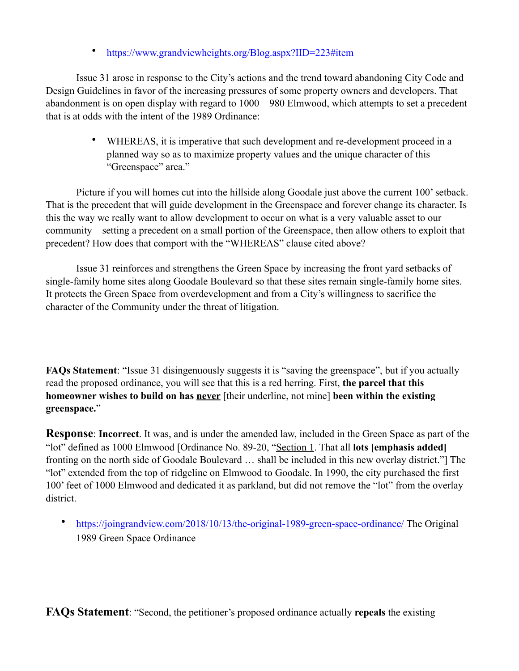• <https://www.grandviewheights.org/Blog.aspx?IID=223#item>

 Issue 31 arose in response to the City's actions and the trend toward abandoning City Code and Design Guidelines in favor of the increasing pressures of some property owners and developers. That abandonment is on open display with regard to 1000 – 980 Elmwood, which attempts to set a precedent that is at odds with the intent of the 1989 Ordinance:

> • WHEREAS, it is imperative that such development and re-development proceed in a planned way so as to maximize property values and the unique character of this "Greenspace" area."

 Picture if you will homes cut into the hillside along Goodale just above the current 100' setback. That is the precedent that will guide development in the Greenspace and forever change its character. Is this the way we really want to allow development to occur on what is a very valuable asset to our community – setting a precedent on a small portion of the Greenspace, then allow others to exploit that precedent? How does that comport with the "WHEREAS" clause cited above?

 Issue 31 reinforces and strengthens the Green Space by increasing the front yard setbacks of single-family home sites along Goodale Boulevard so that these sites remain single-family home sites. It protects the Green Space from overdevelopment and from a City's willingness to sacrifice the character of the Community under the threat of litigation.

**FAQs Statement**: "Issue 31 disingenuously suggests it is "saving the greenspace", but if you actually read the proposed ordinance, you will see that this is a red herring. First, **the parcel that this homeowner wishes to build on has never** [their underline, not mine] **been within the existing greenspace.**"

**Response**: **Incorrect**. It was, and is under the amended law, included in the Green Space as part of the "lot" defined as 1000 Elmwood [Ordinance No. 89-20, "Section 1. That all **lots [emphasis added]** fronting on the north side of Goodale Boulevard … shall be included in this new overlay district."] The "lot" extended from the top of ridgeline on Elmwood to Goodale. In 1990, the city purchased the first 100' feet of 1000 Elmwood and dedicated it as parkland, but did not remove the "lot" from the overlay district.

• <https://joingrandview.com/2018/10/13/the-original-1989-green-space-ordinance/>The Original 1989 Green Space Ordinance

**FAQs Statement**: "Second, the petitioner's proposed ordinance actually **repeals** the existing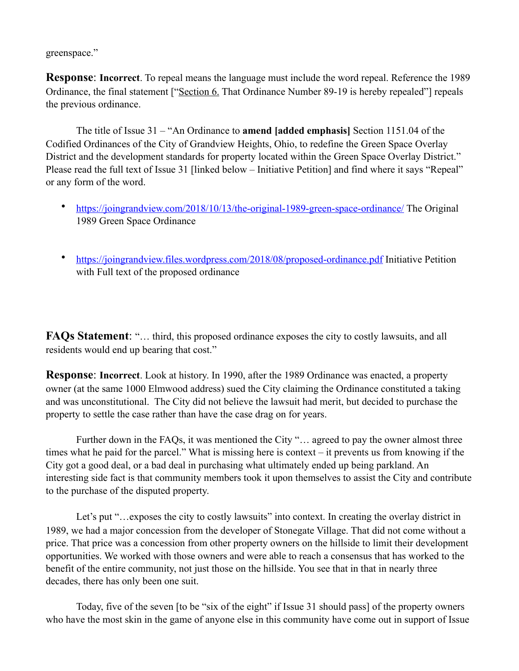greenspace."

**Response**: **Incorrect**. To repeal means the language must include the word repeal. Reference the 1989 Ordinance, the final statement ["Section 6. That Ordinance Number 89-19 is hereby repealed"] repeals the previous ordinance.

The title of Issue 31 – "An Ordinance to **amend [added emphasis]** Section 1151.04 of the Codified Ordinances of the City of Grandview Heights, Ohio, to redefine the Green Space Overlay District and the development standards for property located within the Green Space Overlay District." Please read the full text of Issue 31 [linked below – Initiative Petition] and find where it says "Repeal" or any form of the word.

- <https://joingrandview.com/2018/10/13/the-original-1989-green-space-ordinance/>The Original 1989 Green Space Ordinance
- <https://joingrandview.files.wordpress.com/2018/08/proposed-ordinance.pdf>Initiative Petition with Full text of the proposed ordinance

**FAQs Statement**: "… third, this proposed ordinance exposes the city to costly lawsuits, and all residents would end up bearing that cost."

**Response**: **Incorrect**. Look at history. In 1990, after the 1989 Ordinance was enacted, a property owner (at the same 1000 Elmwood address) sued the City claiming the Ordinance constituted a taking and was unconstitutional. The City did not believe the lawsuit had merit, but decided to purchase the property to settle the case rather than have the case drag on for years.

 Further down in the FAQs, it was mentioned the City "… agreed to pay the owner almost three times what he paid for the parcel." What is missing here is context – it prevents us from knowing if the City got a good deal, or a bad deal in purchasing what ultimately ended up being parkland. An interesting side fact is that community members took it upon themselves to assist the City and contribute to the purchase of the disputed property.

Let's put "...exposes the city to costly lawsuits" into context. In creating the overlay district in 1989, we had a major concession from the developer of Stonegate Village. That did not come without a price. That price was a concession from other property owners on the hillside to limit their development opportunities. We worked with those owners and were able to reach a consensus that has worked to the benefit of the entire community, not just those on the hillside. You see that in that in nearly three decades, there has only been one suit.

 Today, five of the seven [to be "six of the eight" if Issue 31 should pass] of the property owners who have the most skin in the game of anyone else in this community have come out in support of Issue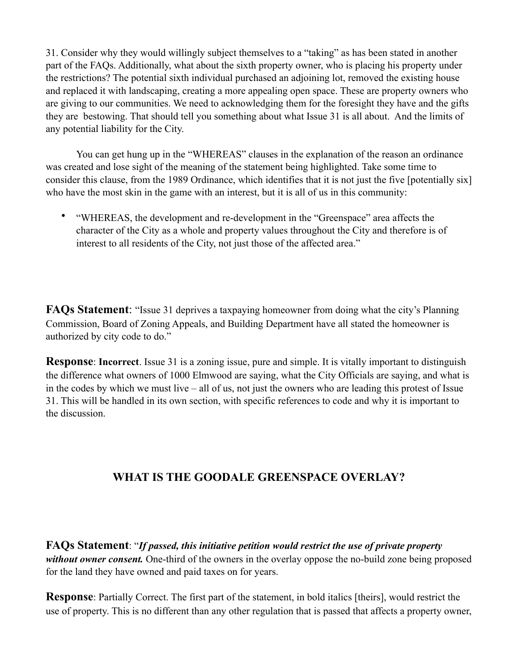31. Consider why they would willingly subject themselves to a "taking" as has been stated in another part of the FAQs. Additionally, what about the sixth property owner, who is placing his property under the restrictions? The potential sixth individual purchased an adjoining lot, removed the existing house and replaced it with landscaping, creating a more appealing open space. These are property owners who are giving to our communities. We need to acknowledging them for the foresight they have and the gifts they are bestowing. That should tell you something about what Issue 31 is all about. And the limits of any potential liability for the City.

 You can get hung up in the "WHEREAS" clauses in the explanation of the reason an ordinance was created and lose sight of the meaning of the statement being highlighted. Take some time to consider this clause, from the 1989 Ordinance, which identifies that it is not just the five [potentially six] who have the most skin in the game with an interest, but it is all of us in this community:

• "WHEREAS, the development and re-development in the "Greenspace" area affects the character of the City as a whole and property values throughout the City and therefore is of interest to all residents of the City, not just those of the affected area."

**FAQs Statement**: "Issue 31 deprives a taxpaying homeowner from doing what the city's Planning Commission, Board of Zoning Appeals, and Building Department have all stated the homeowner is authorized by city code to do."

**Response**: **Incorrect**. Issue 31 is a zoning issue, pure and simple. It is vitally important to distinguish the difference what owners of 1000 Elmwood are saying, what the City Officials are saying, and what is in the codes by which we must live – all of us, not just the owners who are leading this protest of Issue 31. This will be handled in its own section, with specific references to code and why it is important to the discussion.

# **WHAT IS THE GOODALE GREENSPACE OVERLAY?**

**FAQs Statement**: "*If passed, this initiative petition would restrict the use of private property without owner consent.* One-third of the owners in the overlay oppose the no-build zone being proposed for the land they have owned and paid taxes on for years.

**Response**: Partially Correct. The first part of the statement, in bold italics [theirs], would restrict the use of property. This is no different than any other regulation that is passed that affects a property owner,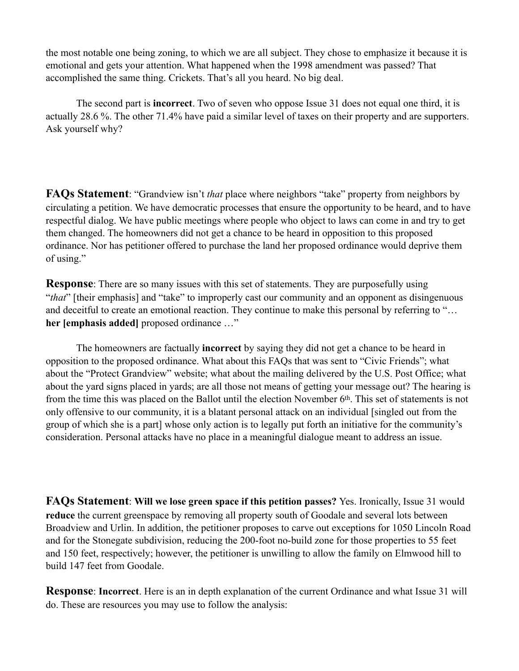the most notable one being zoning, to which we are all subject. They chose to emphasize it because it is emotional and gets your attention. What happened when the 1998 amendment was passed? That accomplished the same thing. Crickets. That's all you heard. No big deal.

 The second part is **incorrect**. Two of seven who oppose Issue 31 does not equal one third, it is actually 28.6 %. The other 71.4% have paid a similar level of taxes on their property and are supporters. Ask yourself why?

**FAQs Statement**: "Grandview isn't *that* place where neighbors "take" property from neighbors by circulating a petition. We have democratic processes that ensure the opportunity to be heard, and to have respectful dialog. We have public meetings where people who object to laws can come in and try to get them changed. The homeowners did not get a chance to be heard in opposition to this proposed ordinance. Nor has petitioner offered to purchase the land her proposed ordinance would deprive them of using."

**Response**: There are so many issues with this set of statements. They are purposefully using "*that*" [their emphasis] and "take" to improperly cast our community and an opponent as disingenuous and deceitful to create an emotional reaction. They continue to make this personal by referring to "… **her [emphasis added]** proposed ordinance …"

 The homeowners are factually **incorrect** by saying they did not get a chance to be heard in opposition to the proposed ordinance. What about this FAQs that was sent to "Civic Friends"; what about the "Protect Grandview" website; what about the mailing delivered by the U.S. Post Office; what about the yard signs placed in yards; are all those not means of getting your message out? The hearing is from the time this was placed on the Ballot until the election November 6th. This set of statements is not only offensive to our community, it is a blatant personal attack on an individual [singled out from the group of which she is a part] whose only action is to legally put forth an initiative for the community's consideration. Personal attacks have no place in a meaningful dialogue meant to address an issue.

**FAQs Statement**: **Will we lose green space if this petition passes?** Yes. Ironically, Issue 31 would **reduce** the current greenspace by removing all property south of Goodale and several lots between Broadview and Urlin. In addition, the petitioner proposes to carve out exceptions for 1050 Lincoln Road and for the Stonegate subdivision, reducing the 200-foot no-build zone for those properties to 55 feet and 150 feet, respectively; however, the petitioner is unwilling to allow the family on Elmwood hill to build 147 feet from Goodale.

**Response**: **Incorrect**. Here is an in depth explanation of the current Ordinance and what Issue 31 will do. These are resources you may use to follow the analysis: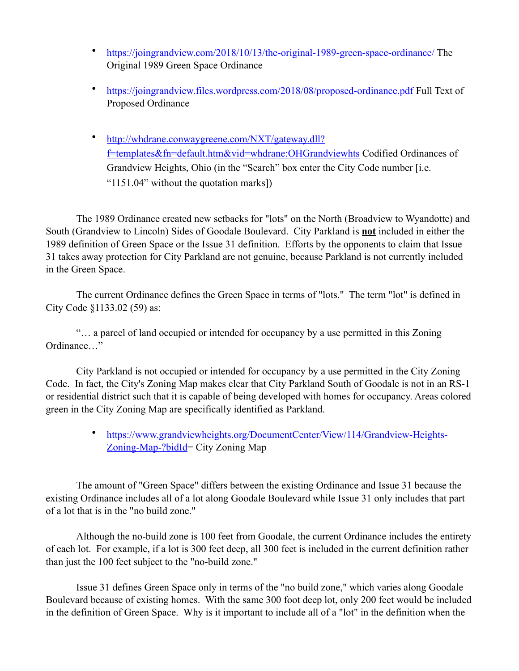- <https://joingrandview.com/2018/10/13/the-original-1989-green-space-ordinance/>The Original 1989 Green Space Ordinance
- <https://joingrandview.files.wordpress.com/2018/08/proposed-ordinance.pdf>Full Text of Proposed Ordinance
- [http://whdrane.conwaygreene.com/NXT/gateway.dll?](http://whdrane.conwaygreene.com/NXT/gateway.dll?f=templates&fn=default.htm&vid=whdrane:OHGrandviewhts) [f=templates&fn=default.htm&vid=whdrane:OHGrandviewhts](http://whdrane.conwaygreene.com/NXT/gateway.dll?f=templates&fn=default.htm&vid=whdrane:OHGrandviewhts) Codified Ordinances of Grandview Heights, Ohio (in the "Search" box enter the City Code number [i.e. "1151.04" without the quotation marks])

 The 1989 Ordinance created new setbacks for "lots" on the North (Broadview to Wyandotte) and South (Grandview to Lincoln) Sides of Goodale Boulevard. City Parkland is **not** included in either the 1989 definition of Green Space or the Issue 31 definition. Efforts by the opponents to claim that Issue 31 takes away protection for City Parkland are not genuine, because Parkland is not currently included in the Green Space.

 The current Ordinance defines the Green Space in terms of "lots." The term "lot" is defined in City Code §1133.02 (59) as:

 "… a parcel of land occupied or intended for occupancy by a use permitted in this Zoning Ordinance…"

 City Parkland is not occupied or intended for occupancy by a use permitted in the City Zoning Code. In fact, the City's Zoning Map makes clear that City Parkland South of Goodale is not in an RS-1 or residential district such that it is capable of being developed with homes for occupancy. Areas colored green in the City Zoning Map are specifically identified as Parkland.

> • [https://www.grandviewheights.org/DocumentCenter/View/114/Grandview-Heights-](https://www.grandviewheights.org/DocumentCenter/View/114/Grandview-Heights-Zoning-Map-?bidId)[Zoning-Map-?bidId](https://www.grandviewheights.org/DocumentCenter/View/114/Grandview-Heights-Zoning-Map-?bidId)= City Zoning Map

 The amount of "Green Space" differs between the existing Ordinance and Issue 31 because the existing Ordinance includes all of a lot along Goodale Boulevard while Issue 31 only includes that part of a lot that is in the "no build zone."

 Although the no-build zone is 100 feet from Goodale, the current Ordinance includes the entirety of each lot. For example, if a lot is 300 feet deep, all 300 feet is included in the current definition rather than just the 100 feet subject to the "no-build zone."

 Issue 31 defines Green Space only in terms of the "no build zone," which varies along Goodale Boulevard because of existing homes. With the same 300 foot deep lot, only 200 feet would be included in the definition of Green Space. Why is it important to include all of a "lot" in the definition when the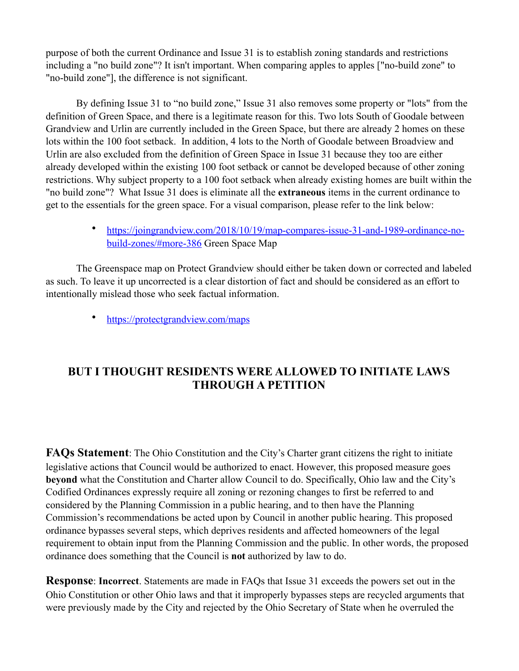purpose of both the current Ordinance and Issue 31 is to establish zoning standards and restrictions including a "no build zone"? It isn't important. When comparing apples to apples ["no-build zone" to "no-build zone"], the difference is not significant.

 By defining Issue 31 to "no build zone," Issue 31 also removes some property or "lots" from the definition of Green Space, and there is a legitimate reason for this. Two lots South of Goodale between Grandview and Urlin are currently included in the Green Space, but there are already 2 homes on these lots within the 100 foot setback. In addition, 4 lots to the North of Goodale between Broadview and Urlin are also excluded from the definition of Green Space in Issue 31 because they too are either already developed within the existing 100 foot setback or cannot be developed because of other zoning restrictions. Why subject property to a 100 foot setback when already existing homes are built within the "no build zone"? What Issue 31 does is eliminate all the **extraneous** items in the current ordinance to get to the essentials for the green space. For a visual comparison, please refer to the link below:

> • [https://joingrandview.com/2018/10/19/map-compares-issue-31-and-1989-ordinance-no](https://joingrandview.com/2018/10/19/map-compares-issue-31-and-1989-ordinance-no-build-zones/#more-386)[build-zones/#more-386](https://joingrandview.com/2018/10/19/map-compares-issue-31-and-1989-ordinance-no-build-zones/#more-386) Green Space Map

 The Greenspace map on Protect Grandview should either be taken down or corrected and labeled as such. To leave it up uncorrected is a clear distortion of fact and should be considered as an effort to intentionally mislead those who seek factual information.

• <https://protectgrandview.com/maps>

# **BUT I THOUGHT RESIDENTS WERE ALLOWED TO INITIATE LAWS THROUGH A PETITION**

**FAQs Statement**: The Ohio Constitution and the City's Charter grant citizens the right to initiate legislative actions that Council would be authorized to enact. However, this proposed measure goes **beyond** what the Constitution and Charter allow Council to do. Specifically, Ohio law and the City's Codified Ordinances expressly require all zoning or rezoning changes to first be referred to and considered by the Planning Commission in a public hearing, and to then have the Planning Commission's recommendations be acted upon by Council in another public hearing. This proposed ordinance bypasses several steps, which deprives residents and affected homeowners of the legal requirement to obtain input from the Planning Commission and the public. In other words, the proposed ordinance does something that the Council is **not** authorized by law to do.

**Response**: **Incorrect**. Statements are made in FAQs that Issue 31 exceeds the powers set out in the Ohio Constitution or other Ohio laws and that it improperly bypasses steps are recycled arguments that were previously made by the City and rejected by the Ohio Secretary of State when he overruled the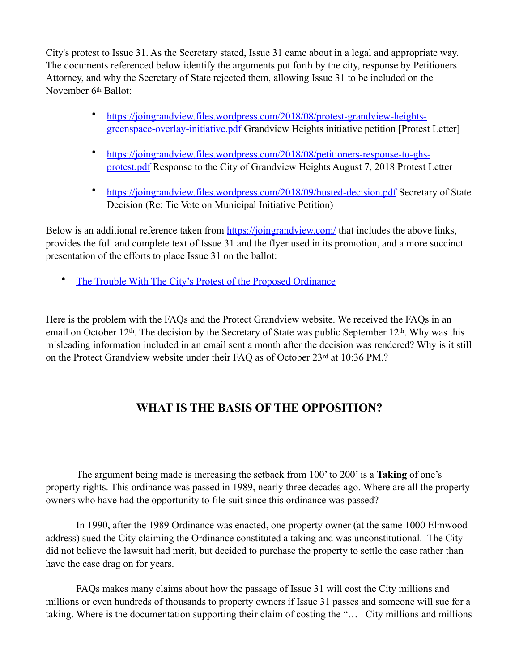City's protest to Issue 31. As the Secretary stated, Issue 31 came about in a legal and appropriate way. The documents referenced below identify the arguments put forth by the city, response by Petitioners Attorney, and why the Secretary of State rejected them, allowing Issue 31 to be included on the November 6th Ballot:

- [https://joingrandview.files.wordpress.com/2018/08/protest-grandview-heights](https://joingrandview.files.wordpress.com/2018/08/protest-grandview-heights-greenspace-overlay-initiative.pdf)[greenspace-overlay-initiative.pdf](https://joingrandview.files.wordpress.com/2018/08/protest-grandview-heights-greenspace-overlay-initiative.pdf) Grandview Heights initiative petition [Protest Letter]
- [https://joingrandview.files.wordpress.com/2018/08/petitioners-response-to-ghs](https://joingrandview.files.wordpress.com/2018/08/petitioners-response-to-ghs-protest.pdf)[protest.pdf](https://joingrandview.files.wordpress.com/2018/08/petitioners-response-to-ghs-protest.pdf) Response to the City of Grandview Heights August 7, 2018 Protest Letter
- <https://joingrandview.files.wordpress.com/2018/09/husted-decision.pdf>Secretary of State Decision (Re: Tie Vote on Municipal Initiative Petition)

Below is an additional reference taken from <https://joingrandview.com/> that includes the above links, provides the full and complete text of Issue 31 and the flyer used in its promotion, and a more succinct presentation of the efforts to place Issue 31 on the ballot:

[The Trouble With The City's Protest of the Proposed Ordinance](https://joingrandview.com/2018/08/22/the-trouble-with-the-citys-protest-of-the-proposed-ordinance/)

Here is the problem with the FAQs and the Protect Grandview website. We received the FAQs in an email on October 12<sup>th</sup>. The decision by the Secretary of State was public September 12<sup>th</sup>. Why was this misleading information included in an email sent a month after the decision was rendered? Why is it still on the Protect Grandview website under their FAQ as of October 23rd at 10:36 PM.?

# **WHAT IS THE BASIS OF THE OPPOSITION?**

 The argument being made is increasing the setback from 100' to 200' is a **Taking** of one's property rights. This ordinance was passed in 1989, nearly three decades ago. Where are all the property owners who have had the opportunity to file suit since this ordinance was passed?

 In 1990, after the 1989 Ordinance was enacted, one property owner (at the same 1000 Elmwood address) sued the City claiming the Ordinance constituted a taking and was unconstitutional. The City did not believe the lawsuit had merit, but decided to purchase the property to settle the case rather than have the case drag on for years.

 FAQs makes many claims about how the passage of Issue 31 will cost the City millions and millions or even hundreds of thousands to property owners if Issue 31 passes and someone will sue for a taking. Where is the documentation supporting their claim of costing the "… City millions and millions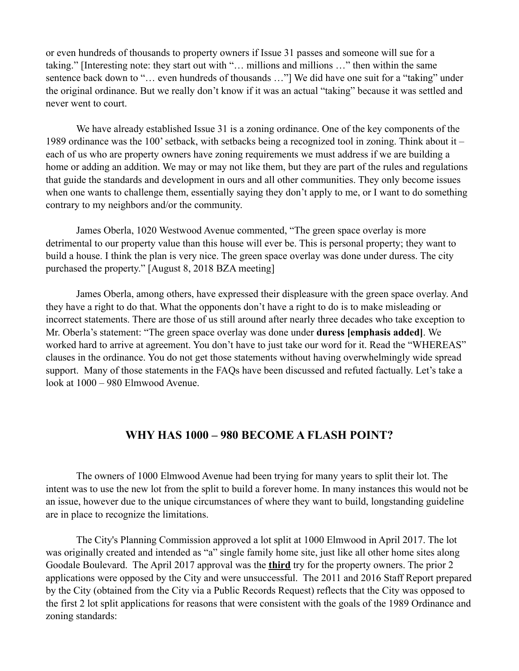or even hundreds of thousands to property owners if Issue 31 passes and someone will sue for a taking." [Interesting note: they start out with "… millions and millions …" then within the same sentence back down to "... even hundreds of thousands ..."] We did have one suit for a "taking" under the original ordinance. But we really don't know if it was an actual "taking" because it was settled and never went to court.

 We have already established Issue 31 is a zoning ordinance. One of the key components of the 1989 ordinance was the 100' setback, with setbacks being a recognized tool in zoning. Think about it – each of us who are property owners have zoning requirements we must address if we are building a home or adding an addition. We may or may not like them, but they are part of the rules and regulations that guide the standards and development in ours and all other communities. They only become issues when one wants to challenge them, essentially saying they don't apply to me, or I want to do something contrary to my neighbors and/or the community.

 James Oberla, 1020 Westwood Avenue commented, "The green space overlay is more detrimental to our property value than this house will ever be. This is personal property; they want to build a house. I think the plan is very nice. The green space overlay was done under duress. The city purchased the property." [August 8, 2018 BZA meeting]

 James Oberla, among others, have expressed their displeasure with the green space overlay. And they have a right to do that. What the opponents don't have a right to do is to make misleading or incorrect statements. There are those of us still around after nearly three decades who take exception to Mr. Oberla's statement: "The green space overlay was done under **duress [emphasis added]**. We worked hard to arrive at agreement. You don't have to just take our word for it. Read the "WHEREAS" clauses in the ordinance. You do not get those statements without having overwhelmingly wide spread support. Many of those statements in the FAQs have been discussed and refuted factually. Let's take a look at 1000 – 980 Elmwood Avenue.

### **WHY HAS 1000 – 980 BECOME A FLASH POINT?**

 The owners of 1000 Elmwood Avenue had been trying for many years to split their lot. The intent was to use the new lot from the split to build a forever home. In many instances this would not be an issue, however due to the unique circumstances of where they want to build, longstanding guideline are in place to recognize the limitations.

 The City's Planning Commission approved a lot split at 1000 Elmwood in April 2017. The lot was originally created and intended as "a" single family home site, just like all other home sites along Goodale Boulevard. The April 2017 approval was the **third** try for the property owners. The prior 2 applications were opposed by the City and were unsuccessful. The 2011 and 2016 Staff Report prepared by the City (obtained from the City via a Public Records Request) reflects that the City was opposed to the first 2 lot split applications for reasons that were consistent with the goals of the 1989 Ordinance and zoning standards: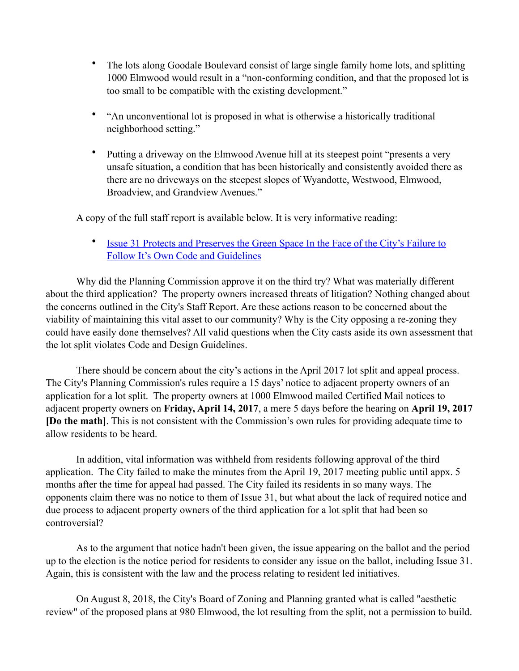- The lots along Goodale Boulevard consist of large single family home lots, and splitting 1000 Elmwood would result in a "non-conforming condition, and that the proposed lot is too small to be compatible with the existing development."
- "An unconventional lot is proposed in what is otherwise a historically traditional neighborhood setting."
- Putting a driveway on the Elmwood Avenue hill at its steepest point "presents a very unsafe situation, a condition that has been historically and consistently avoided there as there are no driveways on the steepest slopes of Wyandotte, Westwood, Elmwood, Broadview, and Grandview Avenues."

A copy of the full staff report is available below. It is very informative reading:

• [Issue 31 Protects and Preserves the Green Space In the Face of the City's Failure to](https://joingrandview.com/2018/10/13/issue-31-protects-and-preserves-the-green-space-in-the-face-of-the-citys-failure-to-follow-its-own-code-and-guidelines/)  [Follow It's Own Code and Guidelines](https://joingrandview.com/2018/10/13/issue-31-protects-and-preserves-the-green-space-in-the-face-of-the-citys-failure-to-follow-its-own-code-and-guidelines/)

 Why did the Planning Commission approve it on the third try? What was materially different about the third application? The property owners increased threats of litigation? Nothing changed about the concerns outlined in the City's Staff Report. Are these actions reason to be concerned about the viability of maintaining this vital asset to our community? Why is the City opposing a re-zoning they could have easily done themselves? All valid questions when the City casts aside its own assessment that the lot split violates Code and Design Guidelines.

 There should be concern about the city's actions in the April 2017 lot split and appeal process. The City's Planning Commission's rules require a 15 days' notice to adjacent property owners of an application for a lot split. The property owners at 1000 Elmwood mailed Certified Mail notices to adjacent property owners on **Friday, April 14, 2017**, a mere 5 days before the hearing on **April 19, 2017 [Do the math]**. This is not consistent with the Commission's own rules for providing adequate time to allow residents to be heard.

 In addition, vital information was withheld from residents following approval of the third application. The City failed to make the minutes from the April 19, 2017 meeting public until appx. 5 months after the time for appeal had passed. The City failed its residents in so many ways. The opponents claim there was no notice to them of Issue 31, but what about the lack of required notice and due process to adjacent property owners of the third application for a lot split that had been so controversial?

 As to the argument that notice hadn't been given, the issue appearing on the ballot and the period up to the election is the notice period for residents to consider any issue on the ballot, including Issue 31. Again, this is consistent with the law and the process relating to resident led initiatives.

 On August 8, 2018, the City's Board of Zoning and Planning granted what is called "aesthetic review" of the proposed plans at 980 Elmwood, the lot resulting from the split, not a permission to build.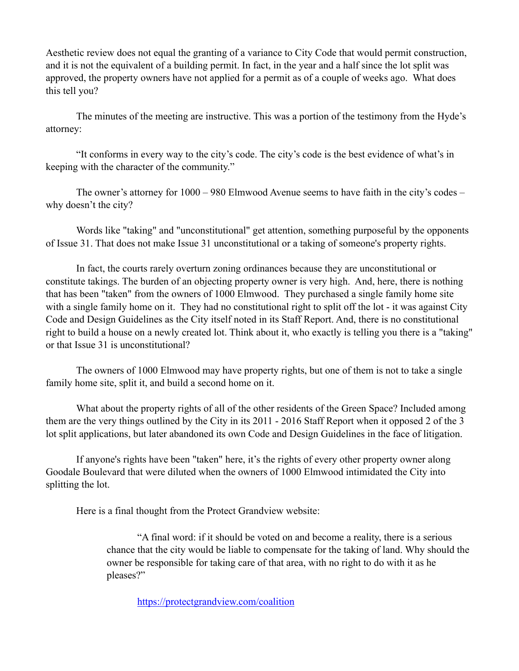Aesthetic review does not equal the granting of a variance to City Code that would permit construction, and it is not the equivalent of a building permit. In fact, in the year and a half since the lot split was approved, the property owners have not applied for a permit as of a couple of weeks ago. What does this tell you?

 The minutes of the meeting are instructive. This was a portion of the testimony from the Hyde's attorney:

 "It conforms in every way to the city's code. The city's code is the best evidence of what's in keeping with the character of the community."

 The owner's attorney for 1000 – 980 Elmwood Avenue seems to have faith in the city's codes – why doesn't the city?

 Words like "taking" and "unconstitutional" get attention, something purposeful by the opponents of Issue 31. That does not make Issue 31 unconstitutional or a taking of someone's property rights.

 In fact, the courts rarely overturn zoning ordinances because they are unconstitutional or constitute takings. The burden of an objecting property owner is very high. And, here, there is nothing that has been "taken" from the owners of 1000 Elmwood. They purchased a single family home site with a single family home on it. They had no constitutional right to split off the lot - it was against City Code and Design Guidelines as the City itself noted in its Staff Report. And, there is no constitutional right to build a house on a newly created lot. Think about it, who exactly is telling you there is a "taking" or that Issue 31 is unconstitutional?

 The owners of 1000 Elmwood may have property rights, but one of them is not to take a single family home site, split it, and build a second home on it.

 What about the property rights of all of the other residents of the Green Space? Included among them are the very things outlined by the City in its 2011 - 2016 Staff Report when it opposed 2 of the 3 lot split applications, but later abandoned its own Code and Design Guidelines in the face of litigation.

 If anyone's rights have been "taken" here, it's the rights of every other property owner along Goodale Boulevard that were diluted when the owners of 1000 Elmwood intimidated the City into splitting the lot.

Here is a final thought from the Protect Grandview website:

 "A final word: if it should be voted on and become a reality, there is a serious chance that the city would be liable to compensate for the taking of land. Why should the owner be responsible for taking care of that area, with no right to do with it as he pleases?"

<https://protectgrandview.com/coalition>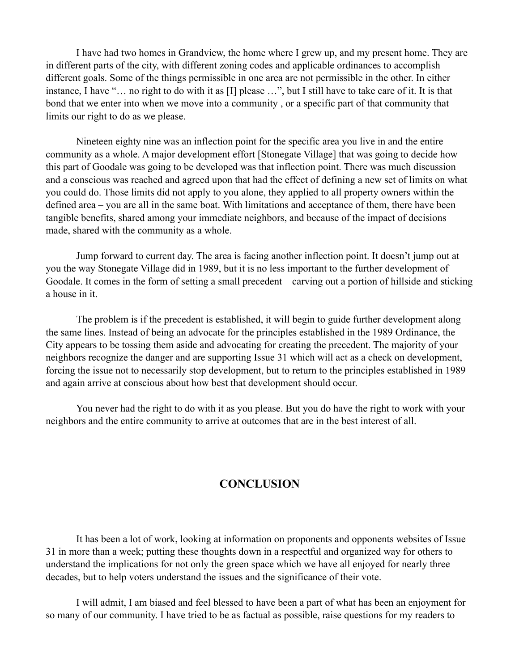I have had two homes in Grandview, the home where I grew up, and my present home. They are in different parts of the city, with different zoning codes and applicable ordinances to accomplish different goals. Some of the things permissible in one area are not permissible in the other. In either instance, I have "… no right to do with it as [I] please …", but I still have to take care of it. It is that bond that we enter into when we move into a community , or a specific part of that community that limits our right to do as we please.

 Nineteen eighty nine was an inflection point for the specific area you live in and the entire community as a whole. A major development effort [Stonegate Village] that was going to decide how this part of Goodale was going to be developed was that inflection point. There was much discussion and a conscious was reached and agreed upon that had the effect of defining a new set of limits on what you could do. Those limits did not apply to you alone, they applied to all property owners within the defined area – you are all in the same boat. With limitations and acceptance of them, there have been tangible benefits, shared among your immediate neighbors, and because of the impact of decisions made, shared with the community as a whole.

 Jump forward to current day. The area is facing another inflection point. It doesn't jump out at you the way Stonegate Village did in 1989, but it is no less important to the further development of Goodale. It comes in the form of setting a small precedent – carving out a portion of hillside and sticking a house in it.

 The problem is if the precedent is established, it will begin to guide further development along the same lines. Instead of being an advocate for the principles established in the 1989 Ordinance, the City appears to be tossing them aside and advocating for creating the precedent. The majority of your neighbors recognize the danger and are supporting Issue 31 which will act as a check on development, forcing the issue not to necessarily stop development, but to return to the principles established in 1989 and again arrive at conscious about how best that development should occur.

 You never had the right to do with it as you please. But you do have the right to work with your neighbors and the entire community to arrive at outcomes that are in the best interest of all.

#### **CONCLUSION**

 It has been a lot of work, looking at information on proponents and opponents websites of Issue 31 in more than a week; putting these thoughts down in a respectful and organized way for others to understand the implications for not only the green space which we have all enjoyed for nearly three decades, but to help voters understand the issues and the significance of their vote.

 I will admit, I am biased and feel blessed to have been a part of what has been an enjoyment for so many of our community. I have tried to be as factual as possible, raise questions for my readers to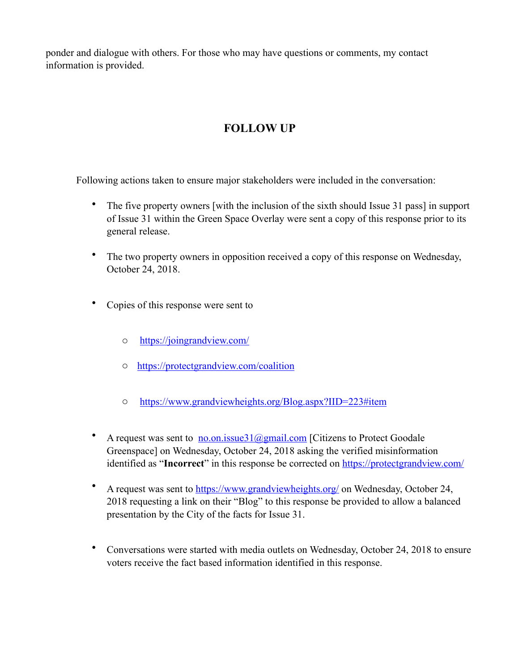ponder and dialogue with others. For those who may have questions or comments, my contact information is provided.

# **FOLLOW UP**

Following actions taken to ensure major stakeholders were included in the conversation:

- The five property owners [with the inclusion of the sixth should Issue 31 pass] in support of Issue 31 within the Green Space Overlay were sent a copy of this response prior to its general release.
- The two property owners in opposition received a copy of this response on Wednesday, October 24, 2018.
- Copies of this response were sent to
	- o <https://joingrandview.com/>
	- o <https://protectgrandview.com/coalition>
	- o <https://www.grandviewheights.org/Blog.aspx?IID=223#item>
- A request was sent to  $\underline{\text{no}}.\text{on}.\text{issue31}$  ( $\text{Qg}$  mail.com [Citizens to Protect Goodale Greenspace] on Wednesday, October 24, 2018 asking the verified misinformation identified as "**Incorrect**" in this response be corrected on **https://protectgrandview.com/**
- A request was sent to <https://www.grandviewheights.org/>on Wednesday, October 24, 2018 requesting a link on their "Blog" to this response be provided to allow a balanced presentation by the City of the facts for Issue 31.
- Conversations were started with media outlets on Wednesday, October 24, 2018 to ensure voters receive the fact based information identified in this response.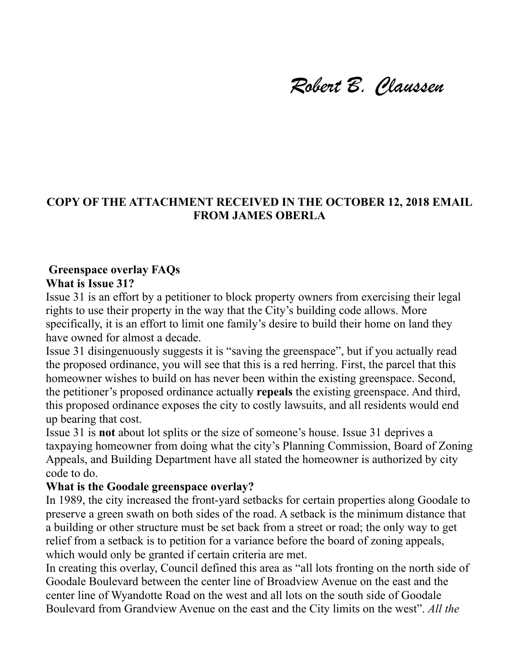# *Robert B. Claussen*

# **COPY OF THE ATTACHMENT RECEIVED IN THE OCTOBER 12, 2018 EMAIL FROM JAMES OBERLA**

## **Greenspace overlay FAQs What is Issue 31?**

Issue 31 is an effort by a petitioner to block property owners from exercising their legal rights to use their property in the way that the City's building code allows. More specifically, it is an effort to limit one family's desire to build their home on land they have owned for almost a decade.

Issue 31 disingenuously suggests it is "saving the greenspace", but if you actually read the proposed ordinance, you will see that this is a red herring. First, the parcel that this homeowner wishes to build on has never been within the existing greenspace. Second, the petitioner's proposed ordinance actually **repeals** the existing greenspace. And third, this proposed ordinance exposes the city to costly lawsuits, and all residents would end up bearing that cost.

Issue 31 is **not** about lot splits or the size of someone's house. Issue 31 deprives a taxpaying homeowner from doing what the city's Planning Commission, Board of Zoning Appeals, and Building Department have all stated the homeowner is authorized by city code to do.

### **What is the Goodale greenspace overlay?**

In 1989, the city increased the front-yard setbacks for certain properties along Goodale to preserve a green swath on both sides of the road. A setback is the minimum distance that a building or other structure must be set back from a street or road; the only way to get relief from a setback is to petition for a variance before the board of zoning appeals, which would only be granted if certain criteria are met.

In creating this overlay, Council defined this area as "all lots fronting on the north side of Goodale Boulevard between the center line of Broadview Avenue on the east and the center line of Wyandotte Road on the west and all lots on the south side of Goodale Boulevard from Grandview Avenue on the east and the City limits on the west". *All the*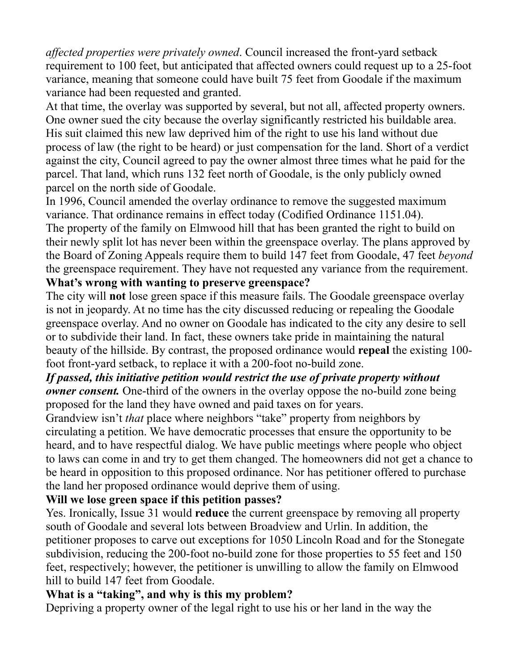*affected properties were privately owned*. Council increased the front-yard setback requirement to 100 feet, but anticipated that affected owners could request up to a 25-foot variance, meaning that someone could have built 75 feet from Goodale if the maximum variance had been requested and granted.

At that time, the overlay was supported by several, but not all, affected property owners. One owner sued the city because the overlay significantly restricted his buildable area. His suit claimed this new law deprived him of the right to use his land without due process of law (the right to be heard) or just compensation for the land. Short of a verdict against the city, Council agreed to pay the owner almost three times what he paid for the parcel. That land, which runs 132 feet north of Goodale, is the only publicly owned parcel on the north side of Goodale.

In 1996, Council amended the overlay ordinance to remove the suggested maximum variance. That ordinance remains in effect today (Codified Ordinance 1151.04). The property of the family on Elmwood hill that has been granted the right to build on their newly split lot has never been within the greenspace overlay. The plans approved by the Board of Zoning Appeals require them to build 147 feet from Goodale, 47 feet *beyond*  the greenspace requirement. They have not requested any variance from the requirement. **What's wrong with wanting to preserve greenspace?** 

The city will **not** lose green space if this measure fails. The Goodale greenspace overlay is not in jeopardy. At no time has the city discussed reducing or repealing the Goodale greenspace overlay. And no owner on Goodale has indicated to the city any desire to sell or to subdivide their land. In fact, these owners take pride in maintaining the natural beauty of the hillside. By contrast, the proposed ordinance would **repeal** the existing 100 foot front-yard setback, to replace it with a 200-foot no-build zone.

# *If passed, this initiative petition would restrict the use of private property without owner consent.* One-third of the owners in the overlay oppose the no-build zone being proposed for the land they have owned and paid taxes on for years.

Grandview isn't *that* place where neighbors "take" property from neighbors by circulating a petition. We have democratic processes that ensure the opportunity to be heard, and to have respectful dialog. We have public meetings where people who object to laws can come in and try to get them changed. The homeowners did not get a chance to be heard in opposition to this proposed ordinance. Nor has petitioner offered to purchase the land her proposed ordinance would deprive them of using.

# **Will we lose green space if this petition passes?**

Yes. Ironically, Issue 31 would **reduce** the current greenspace by removing all property south of Goodale and several lots between Broadview and Urlin. In addition, the petitioner proposes to carve out exceptions for 1050 Lincoln Road and for the Stonegate subdivision, reducing the 200-foot no-build zone for those properties to 55 feet and 150 feet, respectively; however, the petitioner is unwilling to allow the family on Elmwood hill to build 147 feet from Goodale.

# **What is a "taking", and why is this my problem?**

Depriving a property owner of the legal right to use his or her land in the way the